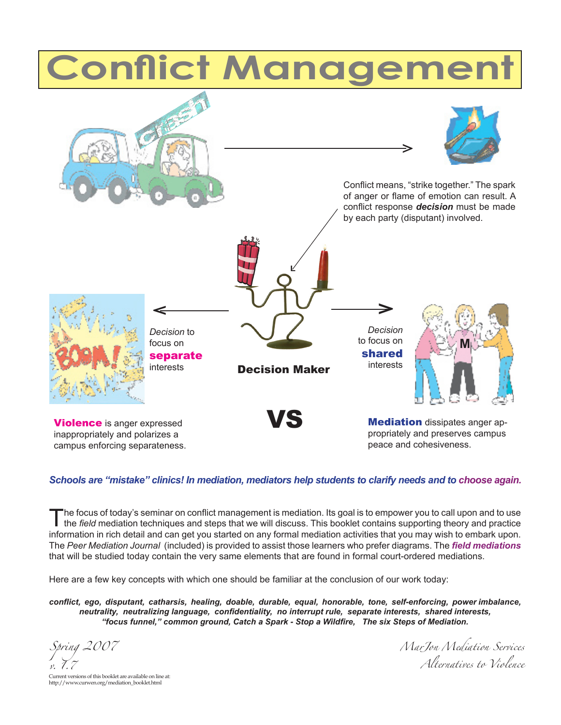# **Conflict Management**



#### *Schools are "mistake" clinics! In mediation, mediators help students to clarify needs and to choose again.*

The focus of today's seminar on conflict management is mediation. Its goal is to empower you to call upon and to use<br>the field mediation techniques and steps that we will discuss. This booklet contains supporting theory an information in rich detail and can get you started on any formal mediation activities that you may wish to embark upon. The *Peer Mediation Journal* (included) is provided to assist those learners who prefer diagrams. The *field mediations* that will be studied today contain the very same elements that are found in formal court-ordered mediations.

Here are a few key concepts with which one should be familiar at the conclusion of our work today:

*conflict, ego, disputant, catharsis, healing, doable, durable, equal, honorable, tone, self-enforcing, power imbalance, neutrality, neutralizing language, confidentiality, no interrupt rule, separate interests, shared interests, "focus funnel," common ground, Catch a Spark - Stop a Wildfire, The six Steps of Mediation.*

*Spring 2007*

*MarJon Mediation Services Alternatives to Violence*

*v*. *l* . *l* and *l* considerations of this booklet are available on line at: http://www.curwen.org/mediation\_booklet.html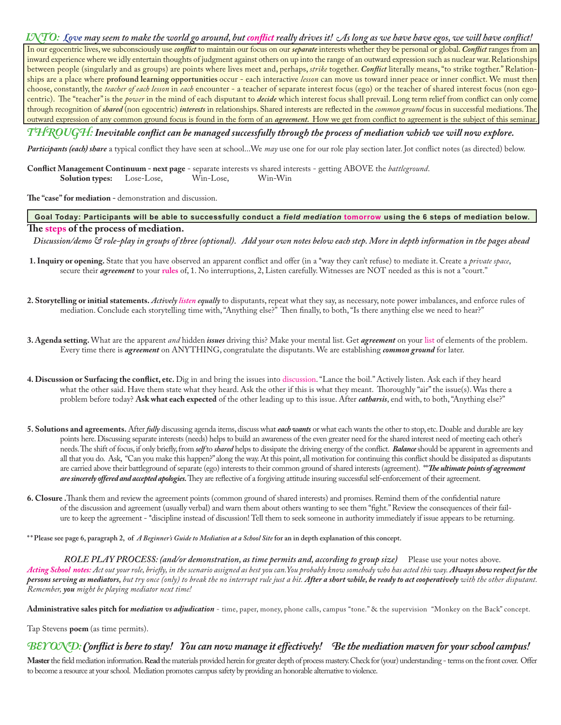#### *INTO: Love may seem to make the world go around, but conflict really drives it! As long as we have have egos, we will have conflict!*

In our egocentric lives, we subconsciously use *conflict* to maintain our focus on our *separate* interests whether they be personal or global. *Conflict* ranges from an inward experience where we idly entertain thoughts of judgment against others on up into the range of an outward expression such as nuclear war. Relationships between people (singularly and as groups) are points where lives meet and, perhaps, *strike* together. *Conflict* literally means, "to strike togther." Relationships are a place where **profound learning opportunities** occur - each interactive *lesson* can move us toward inner peace or inner conflict. We must then choose, constantly, the *teacher of each lesson* in *each* encounter - a teacher of separate interest focus (ego) or the teacher of shared interest focus (non egocentric). The "teacher" is the *power* in the mind of each disputant to *decide* which interest focus shall prevail. Long term relief from conflict can only come through recognition of *shared* (non egocentric) *interests* in relationships. Shared interests are reflected in the *common ground* focus in successful mediations. The outward expression of any common ground focus is found in the form of an *agreement.* How we get from conflict to agreement is the subject of this seminar.

#### *THROUGH:Inevitable conflict can be managed successfully through the process of mediation which we will now explore.*

*Participants (each) share* a typical conflict they have seen at school...We *may* use one for our role play section later. Jot conflict notes (as directed) below.

**Conflict Management Continuum - next page** - separate interests vs shared interests - getting ABOVE the *battleground*. **Solution types:** Lose-Lose, Win-Lose, Win-Win

**The "case" for mediation -** demonstration and discussion.

#### **Goal Today: Participants will be able to successfully conduct a** *field mediation* **tomorrow using the 6 steps of mediation below. The steps of the process of mediation.**

*Discussion/demo & role-play in groups of three (optional). Add your own notes below each step. More in depth information in the pages ahead*

- **1. Inquiry or opening.** State that you have observed an apparent conflict and offer (in a \*way they can't refuse) to mediate it. Create a *private space*, secure their *agreement* to your **rules** of, 1. No interruptions, 2, Listen carefully. Witnesses are NOT needed as this is not a "court."
- **2. Storytelling or initial statements.** *Actively listen equally* to disputants, repeat what they say, as necessary, note power imbalances, and enforce rules of mediation. Conclude each storytelling time with, "Anything else?" Then finally, to both, "Is there anything else we need to hear?"
- **3. Agenda setting.** What are the apparent *and* hidden *issues* driving this? Make your mental list. Get *agreement* on your list of elements of the problem. Every time there is *agreement* on ANYTHING, congratulate the disputants. We are establishing *common ground* for later.
- **4. Discussion or Surfacing the conflict, etc.** Dig in and bring the issues into discussion. "Lance the boil." Actively listen. Ask each if they heard what the other said. Have them state what they heard. Ask the other if this is what they meant. Thoroughly "air" the issue(s). Was there a problem before today? **Ask what each expected** of the other leading up to this issue. After *catharsis*, end with, to both, "Anything else?"
- **5. Solutions and agreements.** After *fully* discussing agenda items, discuss what *each wants* or what each wants the other to stop, etc. Doable and durable are key points here. Discussing separate interests (needs) helps to build an awareness of the even greater need for the shared interest need of meeting each other's needs. The shift of focus, if only briefly, from *self* to *shared* helps to dissipate the driving energy of the conflict. *Balance* should be apparent in agreements and all that you do. Ask, "Can you make this happen?" along the way. At this point, all motivation for continuing this conflict should be dissipated as disputants are carried above their battleground of separate (ego) interests to their common ground of shared interests (agreement). \*\**The ultimate points of agreement are sincerely offered and accepted apologies.* They are reflective of a forgiving attitude insuring successful self-enforcement of their agreement.
- **6. Closure .**Thank them and review the agreement points (common ground of shared interests) and promises. Remind them of the confidential nature of the discussion and agreement (usually verbal) and warn them about others wanting to see them "fight." Review the consequences of their failure to keep the agreement - \*discipline instead of discussion! Tell them to seek someone in authority immediately if issue appears to be returning.

**\* \* Please see page 6, paragraph 2, of** *A Beginner's Guide to Mediation at a School Site* **for an in depth explanation of this concept.**

*ROLE PLAY PROCESS: (and/or demonstration, as time permits and, according to group size)* Please use your notes above. *Acting School notes: Act out your role, briefly, in the scenario assigned as best you can.You probably know somebody who has acted this way. Always show respect for the persons serving as mediators, but try once (only) to break the no interrupt rule just a bit. After a short while, be ready to act cooperatively with the other disputant. Remember, you might be playing mediator next time!*

Administrative sales pitch for *mediation vs adjudication* - time, paper, money, phone calls, campus "tone." & the supervision "Monkey on the Back" concept.

Tap Stevens **poem** (as time permits).

#### *BEY OND: Conflict is here to stay! You can now manage it effectively! Be the mediation maven for your school campus!*

**Master** the field mediation information. **Read** the materials provided herein for greater depth of process mastery. Check for (your) understanding - terms on the front cover. Offer to become a resource at your school. Mediation promotes campus safety by providing an honorable alternative to violence.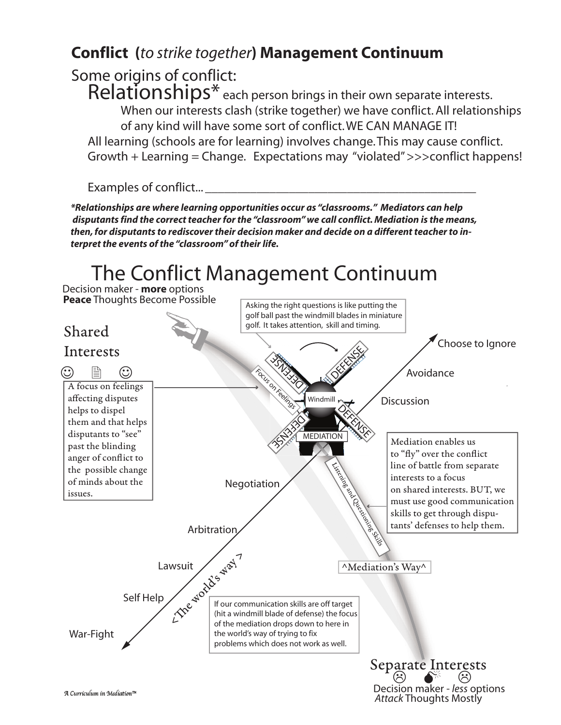## **Conflict (***to strike together***) Management Continuum**

Some origins of conflict:

Relationships<sup>\*</sup> each person brings in their own separate interests. When our interests clash (strike together) we have conflict. All relationships of any kind will have some sort of conflict.WE CAN MANAGE IT! All learning (schools are for learning) involves change. This may cause conflict. Growth + Learning = Change. Expectations may "violated" >>>conflict happens!

Examples of conflict...

*\*Relationships are where learning opportunities occur as "classrooms." Mediators can help disputants find the correct teacher for the "classroom" we call conflict. Mediation is the means, then, for disputants to rediscover their decision maker and decide on a different teacher to interpret the events of the "classroom" of their life.*

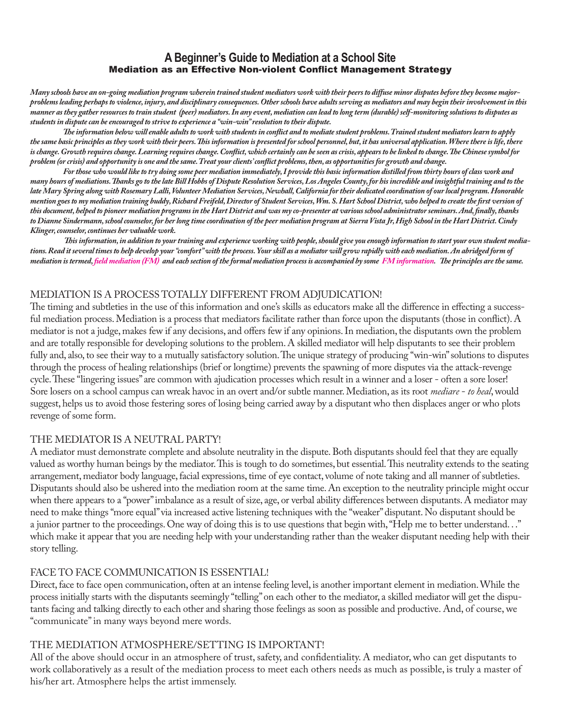## **A Beginner's Guide to Mediation at a School Site** Mediation as an Effective Non-violent Conflict Management Strategy

*Many schools have an on-going mediation program wherein trained student mediators work with their peers to diffuse minor disputes before they become majorproblems leading perhaps to violence, injury, and disciplinary consequences. Other schools have adults serving as mediators and may begin their involvement in this manner as they gather resources to train student (peer) mediators. In any event, mediation can lead to long term (durable) self-monitoring solutions to disputes as students in dispute can be encouraged to strive to experience a "win-win" resolution to their dispute.*

*The information below will enable adults to work with students in conflict and to mediate student problems. Trained student mediators learn to apply the same basic principles as they work with their peers. This information is presented for school personnel, but, it has universal application. Where there is life, there is change. Growth requires change. Learning requires change. Conflict, which certainly can be seen as crisis, appears to be linked to change. The Chinese symbol for problem (or crisis) and opportunity is one and the same. Treat your clients' conflict problems, then, as opportunities for growth and change.*

*For those who would like to try doing some peer mediation immediately, I provide this basic information distilled from thirty hours of class work and many hours of mediations. Thanks go to the late Bill Hobbs of Dispute Resolution Services, Los Angeles County, for his incredible and insightful training and to the late Mary Spring along with Rosemary Lalli, Volunteer Mediation Services, Newhall, California for their dedicated coordination of our local program. Honorable mention goes to my mediation training buddy, Richard Freifeld, Director of Student Services, Wm. S. Hart School District, who helped to create the first version of this document, helped to pioneer mediation programs in the Hart District and was my co-presenter at various school administrator seminars. And, finally, thanks to Dianne Sindermann, school counselor, for her long time coordination of the peer mediation program at Sierra Vista Jr, High School in the Hart District. Cindy Klinger, counselor, continues her valuable work.*

*This information, in addition to your training and experience working with people, should give you enough information to start your own student mediations. Read it several times to help develop your "comfort" with the process. Your skill as a mediator will grow rapidly with each mediation. An abridged form of mediation is termed, field mediation (FM) and each section of the formal mediation process is accompanied by some FM information. The principles are the same.* 

## MEDIATION IS A PROCESS TOTALLY DIFFERENT FROM ADJUDICATION!

The timing and subtleties in the use of this information and one's skills as educators make all the difference in effecting a successful mediation process. Mediation is a process that mediators facilitate rather than force upon the disputants (those in conflict). A mediator is not a judge, makes few if any decisions, and offers few if any opinions. In mediation, the disputants own the problem and are totally responsible for developing solutions to the problem. A skilled mediator will help disputants to see their problem fully and, also, to see their way to a mutually satisfactory solution. The unique strategy of producing "win-win" solutions to disputes through the process of healing relationships (brief or longtime) prevents the spawning of more disputes via the attack-revenge cycle. These "lingering issues" are common with ajudication processes which result in a winner and a loser - often a sore loser! Sore losers on a school campus can wreak havoc in an overt and/or subtle manner. Mediation, as its root *mediare* - *to heal*, would suggest, helps us to avoid those festering sores of losing being carried away by a disputant who then displaces anger or who plots revenge of some form.

## THE MEDIATOR IS A NEUTRAL PARTY!

A mediator must demonstrate complete and absolute neutrality in the dispute. Both disputants should feel that they are equally valued as worthy human beings by the mediator. This is tough to do sometimes, but essential. This neutrality extends to the seating arrangement, mediator body language, facial expressions, time of eye contact, volume of note taking and all manner of subtleties. Disputants should also be ushered into the mediation room at the same time. An exception to the neutrality principle might occur when there appears to a "power" imbalance as a result of size, age, or verbal ability differences between disputants. A mediator may need to make things "more equal" via increased active listening techniques with the "weaker" disputant. No disputant should be a junior partner to the proceedings. One way of doing this is to use questions that begin with, "Help me to better understand. . ." which make it appear that you are needing help with your understanding rather than the weaker disputant needing help with their story telling.

## FACE TO FACE COMMUNICATION IS ESSENTIAL!

Direct, face to face open communication, often at an intense feeling level, is another important element in mediation. While the process initially starts with the disputants seemingly "telling" on each other to the mediator, a skilled mediator will get the disputants facing and talking directly to each other and sharing those feelings as soon as possible and productive. And, of course, we "communicate" in many ways beyond mere words.

## THE MEDIATION ATMOSPHERE/SETTING IS IMPORTANT!

All of the above should occur in an atmosphere of trust, safety, and confidentiality. A mediator, who can get disputants to work collaboratively as a result of the mediation process to meet each others needs as much as possible, is truly a master of his/her art. Atmosphere helps the artist immensely.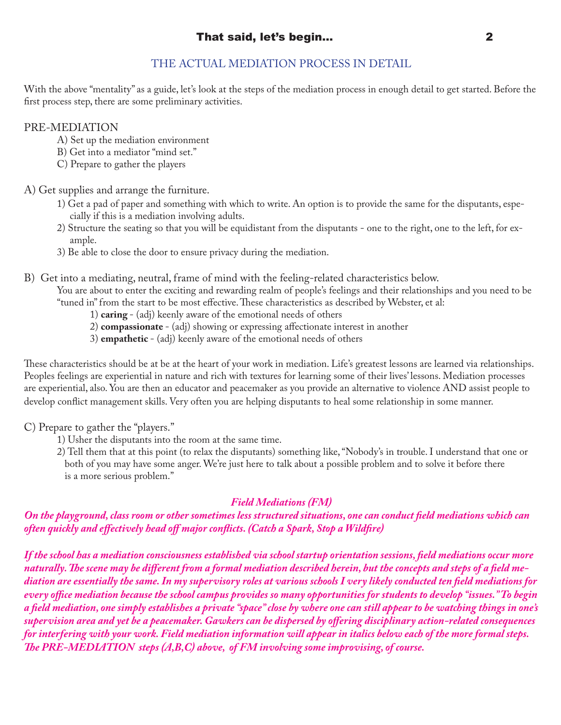## THE ACTUAL MEDIATION PROCESS IN DETAIL

With the above "mentality" as a guide, let's look at the steps of the mediation process in enough detail to get started. Before the first process step, there are some preliminary activities.

## PRE-MEDIATION

- A) Set up the mediation environment
- B) Get into a mediator "mind set."
- C) Prepare to gather the players

## A) Get supplies and arrange the furniture.

- 1) Get a pad of paper and something with which to write. An option is to provide the same for the disputants, espe cially if this is a mediation involving adults.
- 2) Structure the seating so that you will be equidistant from the disputants one to the right, one to the left, for ex ample.
- 3) Be able to close the door to ensure privacy during the mediation.
- B) Get into a mediating, neutral, frame of mind with the feeling-related characteristics below.

 You are about to enter the exciting and rewarding realm of people's feelings and their relationships and you need to be "tuned in" from the start to be most effective. These characteristics as described by Webster, et al:

- 1) **caring**  (adj) keenly aware of the emotional needs of others
- 2) **compassionate**  (adj) showing or expressing affectionate interest in another
- 3) **empathetic**  (adj) keenly aware of the emotional needs of others

These characteristics should be at be at the heart of your work in mediation. Life's greatest lessons are learned via relationships. Peoples feelings are experiential in nature and rich with textures for learning some of their lives' lessons. Mediation processes are experiential, also. You are then an educator and peacemaker as you provide an alternative to violence AND assist people to develop conflict management skills. Very often you are helping disputants to heal some relationship in some manner.

C) Prepare to gather the "players."

- 1) Usher the disputants into the room at the same time.
- 2) Tell them that at this point (to relax the disputants) something like, "Nobody's in trouble. I understand that one or both of you may have some anger. We're just here to talk about a possible problem and to solve it before there is a more serious problem."

## *Field Mediations (FM)*

*On the playground, class room or other sometimes less structured situations, one can conduct field mediations which can often quickly and effectively head off major conflicts. (Catch a Spark, Stop a Wildfire)* 

*If the school has a mediation consciousness established via school startup orientation sessions, field mediations occur more naturally. The scene may be different from a formal mediation described herein, but the concepts and steps of a field mediation are essentially the same. In my supervisory roles at various schools I very likely conducted ten field mediations for every office mediation because the school campus provides so many opportunities for students to develop "issues." To begin a field mediation, one simply establishes a private "space" close by where one can still appear to be watching things in one's supervision area and yet be a peacemaker. Gawkers can be dispersed by offering disciplinary action-related consequences for interfering with your work. Field mediation information will appear in italics below each of the more formal steps. The PRE-MEDIATION steps (A,B,C) above, of FM involving some improvising, of course.*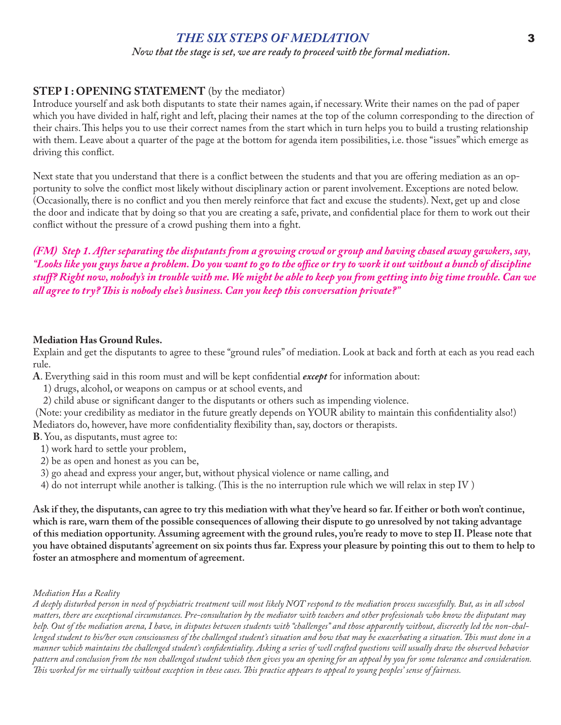## *THE SIX STEPS OF MEDIATION* 3 *Now that the stage is set, we are ready to proceed with the formal mediation.*

## **STEP I : OPENING STATEMENT** (by the mediator)

Introduce yourself and ask both disputants to state their names again, if necessary. Write their names on the pad of paper which you have divided in half, right and left, placing their names at the top of the column corresponding to the direction of their chairs. This helps you to use their correct names from the start which in turn helps you to build a trusting relationship with them. Leave about a quarter of the page at the bottom for agenda item possibilities, i.e. those "issues" which emerge as driving this conflict.

Next state that you understand that there is a conflict between the students and that you are offering mediation as an opportunity to solve the conflict most likely without disciplinary action or parent involvement. Exceptions are noted below. (Occasionally, there is no conflict and you then merely reinforce that fact and excuse the students). Next, get up and close the door and indicate that by doing so that you are creating a safe, private, and confidential place for them to work out their conflict without the pressure of a crowd pushing them into a fight.

*(FM) Step 1. After separating the disputants from a growing crowd or group and having chased away gawkers, say, "Looks like you guys have a problem. Do you want to go to the office or try to work it out without a bunch of discipline stuff? Right now, nobody's in trouble with me. We might be able to keep you from getting into big time trouble. Can we all agree to try? This is nobody else's business. Can you keep this conversation private?"*

## **Mediation Has Ground Rules.**

Explain and get the disputants to agree to these "ground rules" of mediation. Look at back and forth at each as you read each rule.

**A**. Everything said in this room must and will be kept confidential *except* for information about:

- 1) drugs, alcohol, or weapons on campus or at school events, and
- 2) child abuse or significant danger to the disputants or others such as impending violence.

 (Note: your credibility as mediator in the future greatly depends on YOUR ability to maintain this confidentiality also!) Mediators do, however, have more confidentiality flexibility than, say, doctors or therapists.

- **B**. You, as disputants, must agree to:
	- 1) work hard to settle your problem,
	- 2) be as open and honest as you can be,
	- 3) go ahead and express your anger, but, without physical violence or name calling, and
	- 4) do not interrupt while another is talking. (This is the no interruption rule which we will relax in step IV )

**Ask if they, the disputants, can agree to try this mediation with what they've heard so far. If either or both won't continue, which is rare, warn them of the possible consequences of allowing their dispute to go unresolved by not taking advantage of this mediation opportunity. Assuming agreement with the ground rules, you're ready to move to step II. Please note that you have obtained disputants' agreement on six points thus far. Express your pleasure by pointing this out to them to help to foster an atmosphere and momentum of agreement.**

#### *Mediation Has a Reality*

*A deeply disturbed person in need of psychiatric treatment will most likely NOT respond to the mediation process successfully. But, as in all school matters, there are exceptional circumstances. Pre-consultation by the mediator with teachers and other professionals who know the disputant may help. Out of the mediation arena, I have, in disputes between students with "challenges" and those apparently without, discreetly led the non-challenged student to his/her own consciousness of the challenged student's situation and how that may be exacerbating a situation. This must done in a manner which maintains the challenged student's confidentiality. Asking a series of well crafted questions will usually draw the observed behavior pattern and conclusion from the non challenged student which then gives you an opening for an appeal by you for some tolerance and consideration. This worked for me virtually without exception in these cases. This practice appears to appeal to young peoples' sense of fairness.*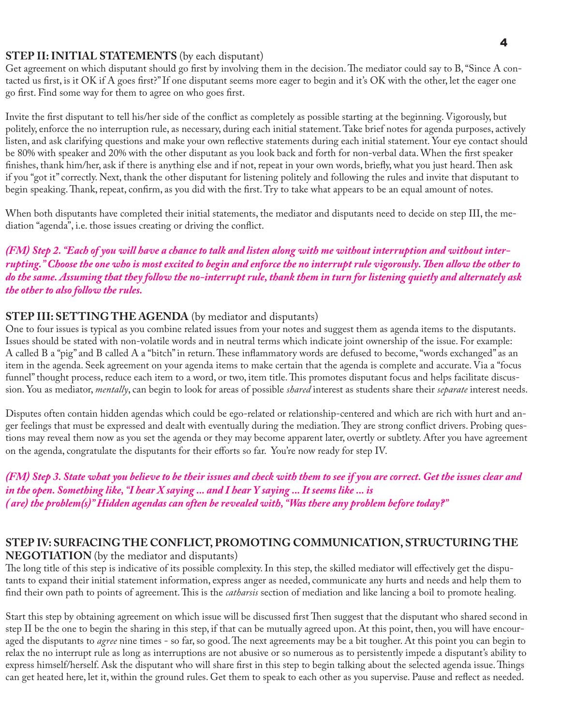## **STEP II: INITIAL STATEMENTS** (by each disputant)

Get agreement on which disputant should go first by involving them in the decision. The mediator could say to B, "Since A contacted us first, is it OK if A goes first?" If one disputant seems more eager to begin and it's OK with the other, let the eager one go first. Find some way for them to agree on who goes first.

Invite the first disputant to tell his/her side of the conflict as completely as possible starting at the beginning. Vigorously, but politely, enforce the no interruption rule, as necessary, during each initial statement. Take brief notes for agenda purposes, actively listen, and ask clarifying questions and make your own reflective statements during each initial statement. Your eye contact should be 80% with speaker and 20% with the other disputant as you look back and forth for non-verbal data. When the first speaker finishes, thank him/her, ask if there is anything else and if not, repeat in your own words, briefly, what you just heard. Then ask if you "got it" correctly. Next, thank the other disputant for listening politely and following the rules and invite that disputant to begin speaking. Thank, repeat, confirm, as you did with the first. Try to take what appears to be an equal amount of notes.

When both disputants have completed their initial statements, the mediator and disputants need to decide on step III, the mediation "agenda", i.e. those issues creating or driving the conflict.

*(FM) Step 2. "Each of you will have a chance to talk and listen along with me without interruption and without interrupting." Choose the one who is most excited to begin and enforce the no interrupt rule vigorously. Then allow the other to do the same. Assuming that they follow the no-interrupt rule, thank them in turn for listening quietly and alternately ask the other to also follow the rules.*

## **STEP III: SETTING THE AGENDA** (by mediator and disputants)

One to four issues is typical as you combine related issues from your notes and suggest them as agenda items to the disputants. Issues should be stated with non-volatile words and in neutral terms which indicate joint ownership of the issue. For example: A called B a "pig" and B called A a "bitch" in return. These inflammatory words are defused to become, "words exchanged" as an item in the agenda. Seek agreement on your agenda items to make certain that the agenda is complete and accurate. Via a "focus funnel" thought process, reduce each item to a word, or two, item title. This promotes disputant focus and helps facilitate discussion. You as mediator, *mentally*, can begin to look for areas of possible *shared* interest as students share their *separate* interest needs.

Disputes often contain hidden agendas which could be ego-related or relationship-centered and which are rich with hurt and anger feelings that must be expressed and dealt with eventually during the mediation. They are strong conflict drivers. Probing questions may reveal them now as you set the agenda or they may become apparent later, overtly or subtlety. After you have agreement on the agenda, congratulate the disputants for their efforts so far. You're now ready for step IV.

*(FM) Step 3. State what you believe to be their issues and check with them to see if you are correct. Get the issues clear and in the open. Something like, "I hear X saying ... and I hear Y saying ... It seems like ... is ( are) the problem(s)" Hidden agendas can often be revealed with, "Was there any problem before today?"*

## **STEP IV: SURFACING THE CONFLICT, PROMOTING COMMUNICATION, STRUCTURING THE**

**NEGOTIATION** (by the mediator and disputants)

The long title of this step is indicative of its possible complexity. In this step, the skilled mediator will effectively get the disputants to expand their initial statement information, express anger as needed, communicate any hurts and needs and help them to find their own path to points of agreement. This is the *catharsis* section of mediation and like lancing a boil to promote healing.

Start this step by obtaining agreement on which issue will be discussed first Then suggest that the disputant who shared second in step II be the one to begin the sharing in this step, if that can be mutually agreed upon. At this point, then, you will have encouraged the disputants to *agree* nine times - so far, so good. The next agreements may be a bit tougher. At this point you can begin to relax the no interrupt rule as long as interruptions are not abusive or so numerous as to persistently impede a disputant's ability to express himself/herself. Ask the disputant who will share first in this step to begin talking about the selected agenda issue. Things can get heated here, let it, within the ground rules. Get them to speak to each other as you supervise. Pause and reflect as needed.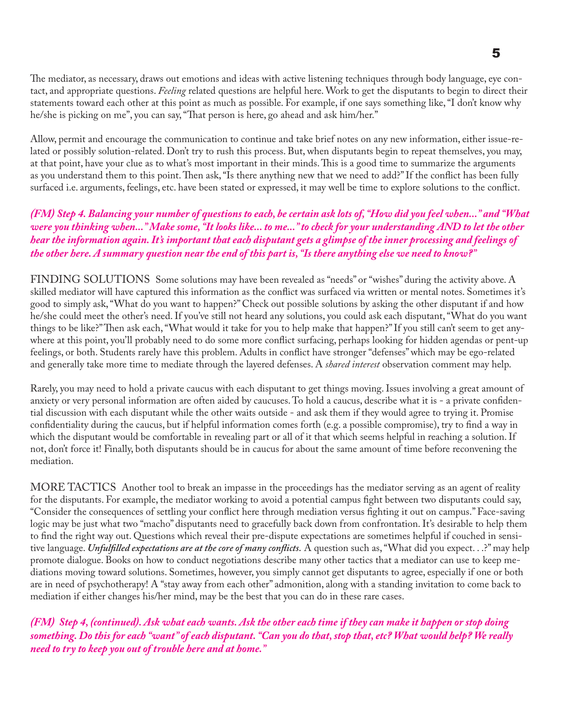The mediator, as necessary, draws out emotions and ideas with active listening techniques through body language, eye contact, and appropriate questions. *Feeling* related questions are helpful here. Work to get the disputants to begin to direct their statements toward each other at this point as much as possible. For example, if one says something like, "I don't know why he/she is picking on me", you can say, "That person is here, go ahead and ask him/her."

Allow, permit and encourage the communication to continue and take brief notes on any new information, either issue-related or possibly solution-related. Don't try to rush this process. But, when disputants begin to repeat themselves, you may, at that point, have your clue as to what's most important in their minds. This is a good time to summarize the arguments as you understand them to this point. Then ask, "Is there anything new that we need to add?" If the conflict has been fully surfaced i.e. arguments, feelings, etc. have been stated or expressed, it may well be time to explore solutions to the conflict.

*(FM) Step 4. Balancing your number of questions to each, be certain ask lots of, "How did you feel when..." and "What were you thinking when..." Make some, "It looks like... to me..." to check for your understanding AND to let the other hear the information again. It's important that each disputant gets a glimpse of the inner processing and feelings of the other here. A summary question near the end of this part is, "Is there anything else we need to know?"*

FINDING SOLUTIONS Some solutions may have been revealed as "needs" or "wishes" during the activity above. A skilled mediator will have captured this information as the conflict was surfaced via written or mental notes. Sometimes it's good to simply ask, "What do you want to happen?" Check out possible solutions by asking the other disputant if and how he/she could meet the other's need. If you've still not heard any solutions, you could ask each disputant, "What do you want things to be like?" Then ask each, "What would it take for you to help make that happen?" If you still can't seem to get anywhere at this point, you'll probably need to do some more conflict surfacing, perhaps looking for hidden agendas or pent-up feelings, or both. Students rarely have this problem. Adults in conflict have stronger "defenses" which may be ego-related and generally take more time to mediate through the layered defenses. A *shared interest* observation comment may help.

Rarely, you may need to hold a private caucus with each disputant to get things moving. Issues involving a great amount of anxiety or very personal information are often aided by caucuses. To hold a caucus, describe what it is - a private confidential discussion with each disputant while the other waits outside - and ask them if they would agree to trying it. Promise confidentiality during the caucus, but if helpful information comes forth (e.g. a possible compromise), try to find a way in which the disputant would be comfortable in revealing part or all of it that which seems helpful in reaching a solution. If not, don't force it! Finally, both disputants should be in caucus for about the same amount of time before reconvening the mediation.

MORE TACTICS Another tool to break an impasse in the proceedings has the mediator serving as an agent of reality for the disputants. For example, the mediator working to avoid a potential campus fight between two disputants could say, "Consider the consequences of settling your conflict here through mediation versus fighting it out on campus." Face-saving logic may be just what two "macho" disputants need to gracefully back down from confrontation. It's desirable to help them to find the right way out. Questions which reveal their pre-dispute expectations are sometimes helpful if couched in sensitive language. *Unfulfilled expectations are at the core of many conflicts.* A question such as, "What did you expect. . .?" may help promote dialogue. Books on how to conduct negotiations describe many other tactics that a mediator can use to keep mediations moving toward solutions. Sometimes, however, you simply cannot get disputants to agree, especially if one or both are in need of psychotherapy! A "stay away from each other" admonition, along with a standing invitation to come back to mediation if either changes his/her mind, may be the best that you can do in these rare cases.

*(FM) Step 4, (continued). Ask what each wants. Ask the other each time if they can make it happen or stop doing something. Do this for each "want" of each disputant. "Can you do that, stop that, etc? What would help? We really need to try to keep you out of trouble here and at home."*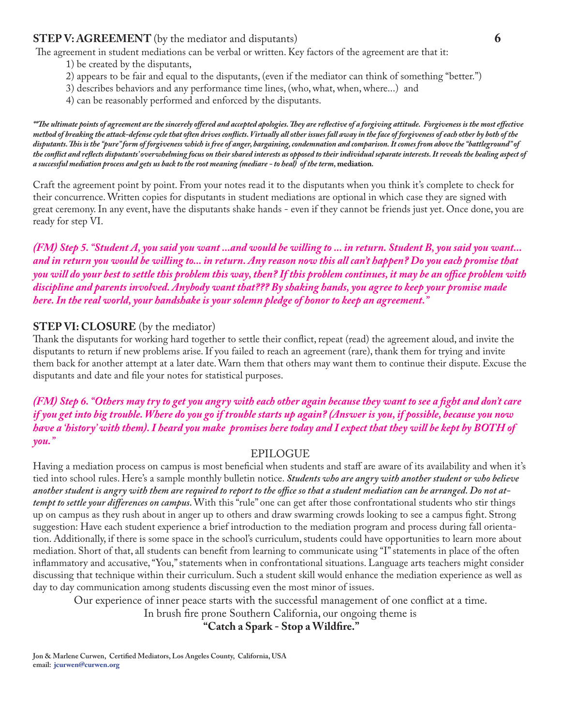#### **STEP V: AGREEMENT** (by the mediator and disputants) **6**

The agreement in student mediations can be verbal or written. Key factors of the agreement are that it:

- 1) be created by the disputants,
- 2) appears to be fair and equal to the disputants, (even if the mediator can think of something "better.")
- 3) describes behaviors and any performance time lines, (who, what, when, where...) and
- 4) can be reasonably performed and enforced by the disputants.

*\*\*The ultimate points of agreement are the sincerely offered and accepted apologies. They are reflective of a forgiving attitude. Forgiveness is the most effective method of breaking the attack-defense cycle that often drives conflicts. Virtually all other issues fall away in the face of forgiveness of each other by both of the disputants. This is the "pure" form of forgiveness which is free of anger, bargaining, condemnation and comparison. It comes from above the "battleground" of the conflict and reflects disputants' overwhelming focus on their shared interests as opposed to their individual separate interests. It reveals the healing aspect of a successful mediation process and gets us back to the root meaning (mediare - to heal) of the term,* **mediation***.*

Craft the agreement point by point. From your notes read it to the disputants when you think it's complete to check for their concurrence. Written copies for disputants in student mediations are optional in which case they are signed with great ceremony. In any event, have the disputants shake hands - even if they cannot be friends just yet. Once done, you are ready for step VI.

*(FM) Step 5. "Student A, you said you want ...and would be willing to ... in return. Student B, you said you want... and in return you would be willing to... in return. Any reason now this all can't happen? Do you each promise that you will do your best to settle this problem this way, then? If this problem continues, it may be an office problem with discipline and parents involved. Anybody want that??? By shaking hands, you agree to keep your promise made here. In the real world, your handshake is your solemn pledge of honor to keep an agreement."*

## **STEP VI: CLOSURE** (by the mediator)

Thank the disputants for working hard together to settle their conflict, repeat (read) the agreement aloud, and invite the disputants to return if new problems arise. If you failed to reach an agreement (rare), thank them for trying and invite them back for another attempt at a later date. Warn them that others may want them to continue their dispute. Excuse the disputants and date and file your notes for statistical purposes.

*(FM) Step 6. "Others may try to get you angry with each other again because they want to see a fight and don't care if you get into big trouble. Where do you go if trouble starts up again? (Answer is you, if possible, because you now have a 'history' with them). I heard you make promises here today and I expect that they will be kept by BOTH of you."*

#### EPILOGUE

Having a mediation process on campus is most beneficial when students and staff are aware of its availability and when it's tied into school rules. Here's a sample monthly bulletin notice. *Students who are angry with another student or who believe another student is angry with them are required to report to the office so that a student mediation can be arranged. Do not attempt to settle your differences on campus.* With this "rule" one can get after those confrontational students who stir things up on campus as they rush about in anger up to others and draw swarming crowds looking to see a campus fight. Strong suggestion: Have each student experience a brief introduction to the mediation program and process during fall orientation. Additionally, if there is some space in the school's curriculum, students could have opportunities to learn more about mediation. Short of that, all students can benefit from learning to communicate using "I" statements in place of the often inflammatory and accusative, "You," statements when in confrontational situations. Language arts teachers might consider discussing that technique within their curriculum. Such a student skill would enhance the mediation experience as well as day to day communication among students discussing even the most minor of issues.

Our experience of inner peace starts with the successful management of one conflict at a time.

In brush fire prone Southern California, our ongoing theme is

 **"Catch a Spark - Stop a Wildfire."**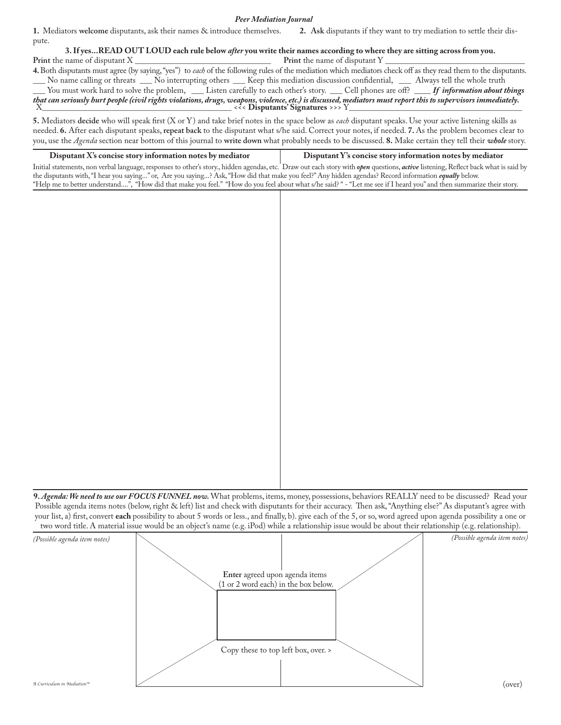*Peer Mediation Journal*

**1.** Mediators **welcome** disputants, ask their names & introduce themselves. **2. Ask** disputants if they want to try mediation to settle their dispute.

**3. If yes...READ OUT LOUD each rule below** *after* **you write their names according to where they are sitting across from you.<br>Print the name of disputant Y Print** the name of disputant X \_\_\_\_\_\_\_\_\_\_\_\_\_\_\_\_\_\_\_\_\_\_\_\_\_\_\_\_\_\_\_\_\_ **Print** the name of disputant Y \_\_\_\_\_\_\_\_\_\_\_\_\_\_\_\_\_\_\_\_\_\_\_\_\_\_\_\_\_\_\_\_\_\_ **4.** Both disputants must agree (by saying, "yes") to *each* of the following rules of the mediation which mediators check off as they read them to the disputants. No name calling or threats \_\_\_ No interrupting others \_\_\_ Keep this mediation discussion confidential, \_\_\_ Always tell the whole truth You must work hard to solve the problem, \_\_\_ Listen carefully to each other's story. \_\_\_ Cell phones are off? \_\_\_\_ *If information about things that can seriously hurt people (civil rights violations, drugs, weapons, violence, etc.) is discussed, mediators must report this to supervisors immediately.* X\_\_\_\_\_\_\_\_\_\_\_\_\_\_\_\_\_\_\_\_\_\_\_\_\_\_\_\_\_\_\_\_\_\_\_\_\_\_\_\_\_\_\_\_\_\_ <<< **Disputants' Signatures** >>> Y\_\_\_\_\_\_\_\_\_\_\_\_\_\_\_\_\_\_\_\_\_\_\_\_\_\_\_\_\_\_\_\_\_\_\_\_\_\_\_\_\_\_

**5.** Mediators **decide** who will speak first (X or Y) and take brief notes in the space below as *each* disputant speaks. Use your active listening skills as needed. **6.** After each disputant speaks, **repeat back** to the disputant what s/he said. Correct your notes, if needed. **7.** As the problem becomes clear to you, use the *Agenda* section near bottom of this journal to **write down** what probably needs to be discussed. **8.** Make certain they tell their *whole* story.

 **Disputant X's concise story information notes by mediator Disputant Y's concise story information notes by mediator** Initial statements, non verbal language, responses to other's story., hidden agendas, etc. Draw out each story with *open* questions, *active* listening, Reflect back what is said by the disputants with, "I hear you saying..." or, Are you saying...? Ask, "How did that make you feel?" Any hidden agendas? Record information *equally* below. "Help me to better understand....", "How did that make you feel." "How do you feel about what s/he said? " - "Let me see if I heard you" and then summarize their story.

**9.** *Agenda: We need to use our FOCUS FUNNEL now.* What problems, items, money, possessions, behaviors REALLY need to be discussed? Read your Possible agenda items notes (below, right & left) list and check with disputants for their accuracy. Then ask, "Anything else?" As disputant's agree with your list, a) first, convert **each** possibility to about 5 words or less., and finally, b). give each of the 5, or so, word agreed upon agenda possibility a one or two word title. A material issue would be an object's name (e.g. iPod) while a relationship issue would be about their relationship (e.g. relationship).

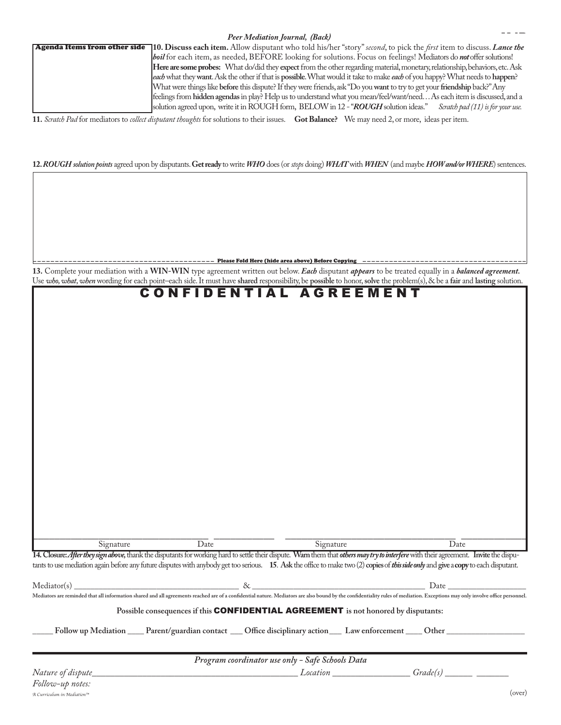**11.** *Scratch Pad* for mediators to *collect disputant thoughts* for solutions to their issues. **Got Balance?** We may need 2, or more, ideas per item.

#### **12.** *ROUGH solution points* agreed upon by disputants. **Get ready** to write *WHO* does (or *stops* doing) *WHAT* with *WHEN* (and maybe *HOW and/or WHERE*) sentences.

----------------------------------------- Please Fold Here (hide area above) Before Copying -------------------------------------

**13.** Complete your mediation with a **WIN-WIN** type agreement written out below. *Each* disputant *appears* to be treated equally in a *balanced agreement.* Use *who, what, when*wording for each point–each side. It must have **shared** responsibility, be **possible** to honor, **solve** the problem(s), & be a **fair** and **lasting** solution.

| Signature   | $\overline{Date}$ | Signature                                                                                                                                                                                                                     | $\overline{D}$ ate |
|-------------|-------------------|-------------------------------------------------------------------------------------------------------------------------------------------------------------------------------------------------------------------------------|--------------------|
|             |                   | 14. Closure: After they sign above, thank the disputants for working hard to settle their dispute. Warn them that others may try to interfere with their agreement. Invite the dispu-                                         |                    |
|             |                   | tants to use mediation again before any future disputes with anybody get too serious. 15. Ask the office to make two (2) copies of this side only and give a copy to each disputant.                                          |                    |
| Mediator(s) | $\&$              |                                                                                                                                                                                                                               | Date               |
|             |                   | Mediators are reminded that all information shared and all agreements reached are of a confidential nature. Mediators are also bound by the confidentiality rules of mediation. Exceptions may only involve office personnel. |                    |

**Possible consequences if this** CONFIDENTIAL AGREEMENT **is not honored by disputants:**

Follow up Mediation \_\_\_\_\_ Parent/guardian contact \_\_\_ Office disciplinary action \_\_\_\_ Law enforcement \_\_\_\_\_ Other \_

|  | Program coordinator use only - Safe Schools Data |
|--|--------------------------------------------------|
|--|--------------------------------------------------|

*Nature of dispute\_\_\_\_\_\_\_\_\_\_\_\_\_\_\_\_\_\_\_\_\_\_\_\_\_\_\_\_\_\_\_\_\_\_\_\_\_\_\_\_\_\_\_\_\_ Location \_\_\_\_\_\_\_\_\_\_\_\_\_\_\_\_\_ Grade(s) \_\_\_\_\_\_ \_\_\_\_\_\_\_*